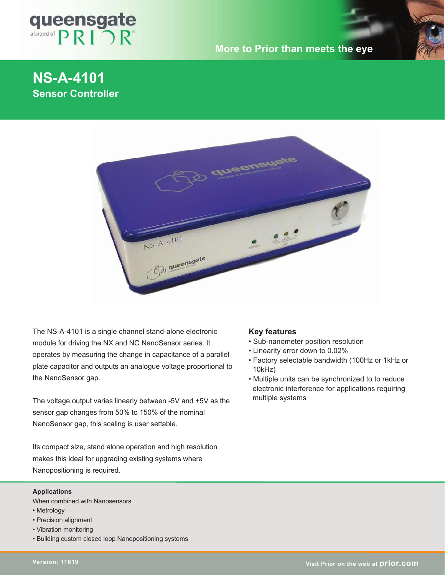

## **More to Prior than meets the eye**

# **NS-A-4101 Sensor Controller**



The NS-A-4101 is a single channel stand-alone electronic module for driving the NX and NC NanoSensor series. It operates by measuring the change in capacitance of a parallel plate capacitor and outputs an analogue voltage proportional to the NanoSensor gap.

The voltage output varies linearly between -5V and +5V as the sensor gap changes from 50% to 150% of the nominal NanoSensor gap, this scaling is user settable.

Its compact size, stand alone operation and high resolution makes this ideal for upgrading existing systems where Nanopositioning is required.

#### **Applications**

When combined with Nanosensors

- Metrology
- Precision alignment
- Vibration monitoring
- Building custom closed loop Nanopositioning systems

#### **Key features**

- Sub-nanometer position resolution
- Linearity error down to 0.02%
- Factory selectable bandwidth (100Hz or 1kHz or 10kHz)
- Multiple units can be synchronized to to reduce electronic interference for applications requiring multiple systems